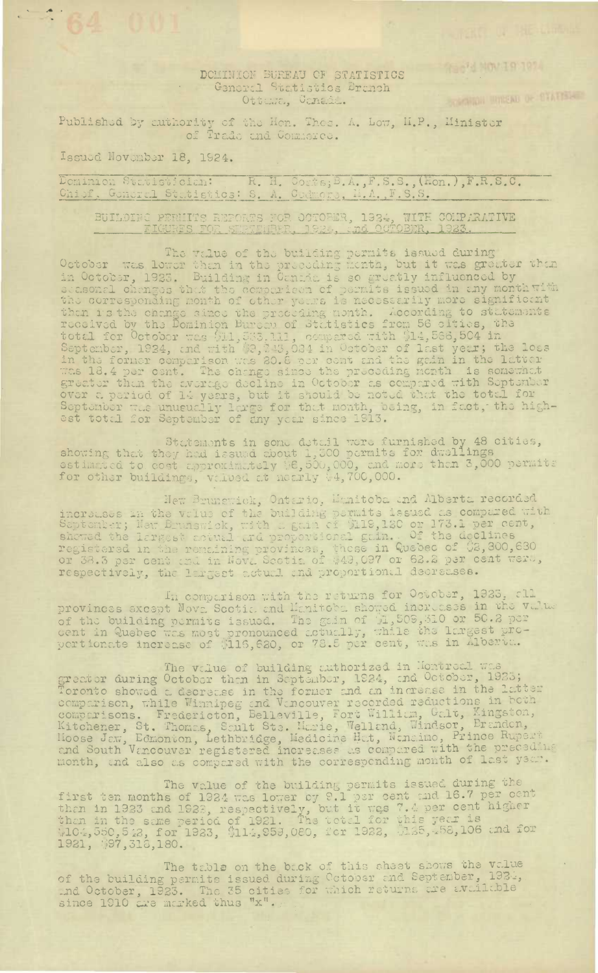## DCMINION BUREAU OF STATISTICS General Statistics Branch Ottant, Consda.

SUPERINT WINCHED OF STATISTICS.

 $\mathcal{L}^{\pm}$ 

**CONTRACTOR AND A PICTURE** 

Published by authority of the Hon. Thos. A. Low, H.P., Minister of Trade and Commerce.

Issued November 18, 1924.

Dominion Statistician: R. H. Coats; B.A., F.S.S., (Hon.), F.R.S.C. Chief, General Statistics: S. A. Cedmone, M.A., F.S.S.

BUILDING PERHITS REPORTS FOR OCTOBER, 1924, WITH COMPARATIVE FIGURES FOR SEPTEMBER, 1924, and OCTOBER, 1923. FIGURES FOR SEPTEMBER, 1928, and OC

The value of the building permits issued during<br>October was lower than in the preseding menth, but it was greater than<br>in October, 1923. Building in Canada is so greatly influenced by seasonal changes that the comparison of permits issued in any month with the corresponding month of other years is necessarily more significant<br>than is the change since the proceding month. According to statements<br>received by the Dominion Bureau of Statistics from 56 oftical for<br>the fact of cot

Statements in some detail were furnished by 48 cities,<br>showing that they had issued about 1,300 permits for dwellings<br>estimated to cost approximately 96,500,000, and more than 3,000 permits<br>for other buildings, valued at n

Hew Brunswick, Ontario, Munitoba and Alberta recorded<br>increases in the value of the building permits issued as compared with<br>September; New Brunswick, with a gain of 9119,120 or 173.1 per cent,<br>showed the largest advait an

In comparison with the returns for October, 1925, all<br>provinces except Nova Soctia and Manitoba showed increases in the value<br>of the building permits issued. The gain of M, 509,310 or 50.2 per<br>cent in Quebec was most prono

The value of building authorized in Hontroal was<br>greator during October than in September, 1924, and October, 1925;<br>Toronto showed a decrease in the former and an increase in the latter<br>comparison, while Winnipeg and Vanco month, and also as compared with the corresponding month of last year.

The value of the building permits issued during the<br>first ten months of 1924 was lower by 9.1 per cent and 16.7 per cent<br>than in 1923 and 1922, respectively, but it was 7.4 per cent higher<br>than in the same period of 1921.

The table on the back of this sheet shows the value<br>of the building permits issued during October and September, 1924,<br>and October, 1923. The 35 cities for which returns are available<br>since 1910 are marked thus "x".